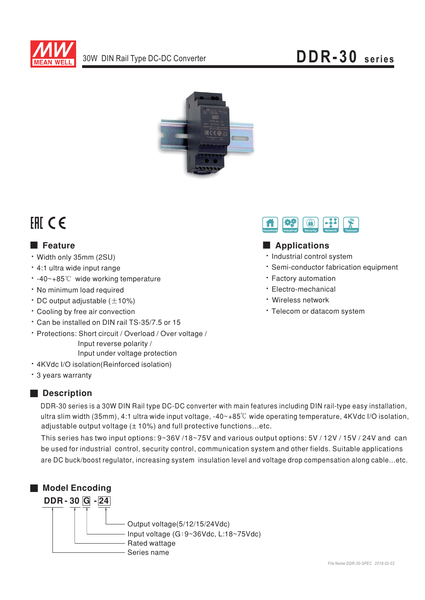



# FAI CE

### **E** Feature

- Width only 35mm (2SU)
- · 4:1 ultra wide input range
- -40~+85℃ wide working temperature
- · No minimum load required
- $\cdot$  DC output adjustable ( $\pm$ 10%)
- \* Cooling by free air convection
- \* Can be installed on DIN rail TS-35/7.5 or 15
- · Protections: Short circuit / Overload / Over voltage / Input reverse polarity / Input under voltage protection
- · 4KVdc I/O isolation(Reinforced isolation)
- \* 3 years warranty

#### Description

DDR-30 series is a 30W DIN Rail type DC-DC converter with main features including DIN rail-type easy installation, ultra slim width (35mm), 4:1 ultra wide input voltage,  $-40-+85^{\circ}$  wide operating temperature, 4KVdc I/O isolation, adjustable output voltage (± 10%) and full protective functions...etc.

This series has two input options: 9~36V/18~75V and various output options: 5V/12V/15V/24V and can be used for industrial control, security control, communication system and other fields. Suitable applications are DC buck/boost regulator, increasing system insulation level and voltage drop compensation along cable...etc.





### Applications

- · Industrial control system
- · Semi-conductor fabrication equipment
- · Factory automation
- · Electro-mechanical
- · Wireless network
- · Telecom or datacom system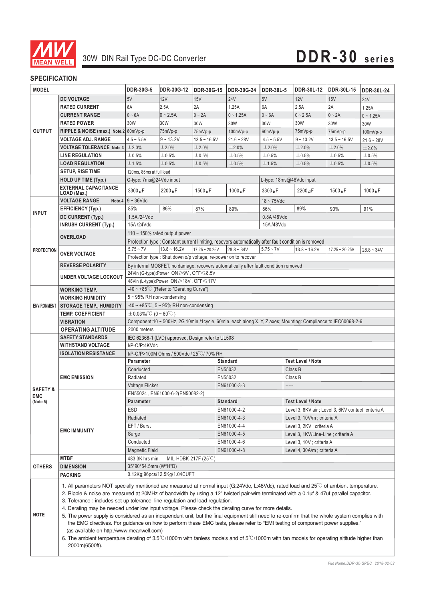

#### **SPECIFICATION**

| <b>MODEL</b>                                  |                                                                                                                                                                                                                                                                                                                                                                                                                                                                                                                                                                                                                                                                                                                                                                                                                                                                                                                                                                                | DDR-30G-5                                                                                                                    | <b>DDR-30G-12</b>             | <b>DDR-30G-15</b> | <b>DDR-30G-24</b>                                               | <b>DDR-30L-5</b> | DDR-30L-12                                          | <b>DDR-30L-15</b> | <b>DDR-30L-24</b> |  |
|-----------------------------------------------|--------------------------------------------------------------------------------------------------------------------------------------------------------------------------------------------------------------------------------------------------------------------------------------------------------------------------------------------------------------------------------------------------------------------------------------------------------------------------------------------------------------------------------------------------------------------------------------------------------------------------------------------------------------------------------------------------------------------------------------------------------------------------------------------------------------------------------------------------------------------------------------------------------------------------------------------------------------------------------|------------------------------------------------------------------------------------------------------------------------------|-------------------------------|-------------------|-----------------------------------------------------------------|------------------|-----------------------------------------------------|-------------------|-------------------|--|
|                                               | <b>DC VOLTAGE</b>                                                                                                                                                                                                                                                                                                                                                                                                                                                                                                                                                                                                                                                                                                                                                                                                                                                                                                                                                              | 5V                                                                                                                           | 12V                           | 15V               | <b>24V</b>                                                      | 5V               | 12V                                                 | 15V               | <b>24V</b>        |  |
|                                               | <b>RATED CURRENT</b>                                                                                                                                                                                                                                                                                                                                                                                                                                                                                                                                                                                                                                                                                                                                                                                                                                                                                                                                                           | 6A                                                                                                                           | 2.5A                          | 2A                | 1.25A                                                           | 6A               | 2.5A                                                | 2A                | 1.25A             |  |
|                                               | <b>CURRENT RANGE</b>                                                                                                                                                                                                                                                                                                                                                                                                                                                                                                                                                                                                                                                                                                                                                                                                                                                                                                                                                           | $0 - 6A$                                                                                                                     | $0 - 2.5A$                    | $0 - 2A$          | $0 - 1.25A$                                                     | $0 - 6A$         | $0 - 2.5A$                                          | $0 - 2A$          | $0 - 1.25A$       |  |
| <b>OUTPUT</b>                                 | <b>RATED POWER</b>                                                                                                                                                                                                                                                                                                                                                                                                                                                                                                                                                                                                                                                                                                                                                                                                                                                                                                                                                             | 30W                                                                                                                          | 30W                           | 30W               | 30W                                                             | 30W              | 30W                                                 | 30W               | 30W               |  |
|                                               | RIPPLE & NOISE (max.) Note.2 60mVp-p                                                                                                                                                                                                                                                                                                                                                                                                                                                                                                                                                                                                                                                                                                                                                                                                                                                                                                                                           |                                                                                                                              | 75mVp-p                       | 75mVp-p           | 100mVp-p                                                        | 60mVp-p          | 75mVp-p                                             | 75mVp-p           | 100mVp-p          |  |
|                                               | <b>VOLTAGE ADJ. RANGE</b>                                                                                                                                                                                                                                                                                                                                                                                                                                                                                                                                                                                                                                                                                                                                                                                                                                                                                                                                                      | $4.5 - 5.5V$                                                                                                                 | $9 - 13.2V$                   | $13.5 - 16.5V$    | $21.6 - 28V$                                                    | $4.5 - 5.5V$     | $9 - 13.2V$                                         | $13.5 - 16.5V$    | $21.6 - 28V$      |  |
|                                               | <b>VOLTAGE TOLERANCE Note.3</b>                                                                                                                                                                                                                                                                                                                                                                                                                                                                                                                                                                                                                                                                                                                                                                                                                                                                                                                                                | $\pm 2.0\%$                                                                                                                  | ±2.0%                         | ±2.0%             | ±2.0%                                                           | ±2.0%            | ±2.0%                                               | ±2.0%             | ±2.0%             |  |
|                                               | <b>LINE REGULATION</b>                                                                                                                                                                                                                                                                                                                                                                                                                                                                                                                                                                                                                                                                                                                                                                                                                                                                                                                                                         | ±0.5%                                                                                                                        | ±0.5%                         | ±0.5%             | $\pm 0.5\%$                                                     | ±0.5%            | ±0.5%                                               | ±0.5%             | ±0.5%             |  |
|                                               | <b>LOAD REGULATION</b>                                                                                                                                                                                                                                                                                                                                                                                                                                                                                                                                                                                                                                                                                                                                                                                                                                                                                                                                                         | ±1.5%                                                                                                                        | ±0.5%                         | $\pm 0.5\%$       | $\pm 0.5\%$                                                     | ±1.5%            | ±0.5%                                               | ±0.5%             | $\pm 0.5\%$       |  |
|                                               | <b>SETUP, RISE TIME</b>                                                                                                                                                                                                                                                                                                                                                                                                                                                                                                                                                                                                                                                                                                                                                                                                                                                                                                                                                        | 120ms, 85ms at full load                                                                                                     |                               |                   |                                                                 |                  |                                                     |                   |                   |  |
|                                               | <b>HOLD UP TIME (Typ.)</b>                                                                                                                                                                                                                                                                                                                                                                                                                                                                                                                                                                                                                                                                                                                                                                                                                                                                                                                                                     | G-type: 7ms@24Vdc input<br>L-type: 18ms@48Vdc input                                                                          |                               |                   |                                                                 |                  |                                                     |                   |                   |  |
|                                               | <b>EXTERNAL CAPACITANCE</b><br>LOAD (Max.)                                                                                                                                                                                                                                                                                                                                                                                                                                                                                                                                                                                                                                                                                                                                                                                                                                                                                                                                     | 3300 µF                                                                                                                      | 2200 $\mu$ F                  | 1500 $\mu$ F      | 1000 $\mu$ F                                                    | $3300 \mu F$     | 2200 $\mu$ F                                        | 1500 $\mu$ F      | 1000 $\mu$ F      |  |
|                                               | <b>VOLTAGE RANGE</b>                                                                                                                                                                                                                                                                                                                                                                                                                                                                                                                                                                                                                                                                                                                                                                                                                                                                                                                                                           | Note.4 $9 - 36$ Vdc                                                                                                          |                               |                   |                                                                 | $18 \sim 75$ Vdc |                                                     |                   |                   |  |
| <b>INPUT</b>                                  | <b>EFFICIENCY (Typ.)</b>                                                                                                                                                                                                                                                                                                                                                                                                                                                                                                                                                                                                                                                                                                                                                                                                                                                                                                                                                       | 85%                                                                                                                          | 86%                           | 87%               | 89%                                                             | 86%              | 89%                                                 | 90%               | 91%               |  |
|                                               | <b>DC CURRENT (Typ.)</b>                                                                                                                                                                                                                                                                                                                                                                                                                                                                                                                                                                                                                                                                                                                                                                                                                                                                                                                                                       | 1.5A/24Vdc                                                                                                                   |                               |                   |                                                                 | 0.8A/48Vdc       |                                                     |                   |                   |  |
|                                               | <b>INRUSH CURRENT (Typ.)</b>                                                                                                                                                                                                                                                                                                                                                                                                                                                                                                                                                                                                                                                                                                                                                                                                                                                                                                                                                   | 15A/24Vdc                                                                                                                    |                               |                   |                                                                 | 15A/48Vdc        |                                                     |                   |                   |  |
|                                               |                                                                                                                                                                                                                                                                                                                                                                                                                                                                                                                                                                                                                                                                                                                                                                                                                                                                                                                                                                                |                                                                                                                              | 110 ~ 150% rated output power |                   |                                                                 |                  |                                                     |                   |                   |  |
|                                               | <b>OVERLOAD</b>                                                                                                                                                                                                                                                                                                                                                                                                                                                                                                                                                                                                                                                                                                                                                                                                                                                                                                                                                                | Protection type : Constant current limiting, recovers automatically after fault condition is removed                         |                               |                   |                                                                 |                  |                                                     |                   |                   |  |
| <b>PROTECTION</b>                             |                                                                                                                                                                                                                                                                                                                                                                                                                                                                                                                                                                                                                                                                                                                                                                                                                                                                                                                                                                                | $5.75 - 7V$                                                                                                                  | $13.8 - 16.2V$                | $17.25 - 20.25V$  | $28.8 - 34V$                                                    | $5.75 - 7V$      | $13.8 - 16.2V$                                      | $17.25 - 20.25V$  | $28.8 - 34V$      |  |
|                                               | <b>OVER VOLTAGE</b>                                                                                                                                                                                                                                                                                                                                                                                                                                                                                                                                                                                                                                                                                                                                                                                                                                                                                                                                                            |                                                                                                                              |                               |                   | Protection type : Shut down o/p voltage, re-power on to recover |                  |                                                     |                   |                   |  |
|                                               | <b>REVERSE POLARITY</b>                                                                                                                                                                                                                                                                                                                                                                                                                                                                                                                                                                                                                                                                                                                                                                                                                                                                                                                                                        |                                                                                                                              |                               |                   |                                                                 |                  |                                                     |                   |                   |  |
|                                               |                                                                                                                                                                                                                                                                                                                                                                                                                                                                                                                                                                                                                                                                                                                                                                                                                                                                                                                                                                                | By internal MOSFET, no damage, recovers automatically after fault condition removed<br>24Vin (G-type):Power ON≥9V , OFF≤8.5V |                               |                   |                                                                 |                  |                                                     |                   |                   |  |
|                                               | <b>UNDER VOLTAGE LOCKOUT</b>                                                                                                                                                                                                                                                                                                                                                                                                                                                                                                                                                                                                                                                                                                                                                                                                                                                                                                                                                   | 48Vin (L-type):Power ON≥18V, OFF≤17V                                                                                         |                               |                   |                                                                 |                  |                                                     |                   |                   |  |
|                                               | <b>WORKING TEMP.</b>                                                                                                                                                                                                                                                                                                                                                                                                                                                                                                                                                                                                                                                                                                                                                                                                                                                                                                                                                           | $-40 \sim +85^{\circ}$ C (Refer to "Derating Curve")                                                                         |                               |                   |                                                                 |                  |                                                     |                   |                   |  |
|                                               | <b>WORKING HUMIDITY</b>                                                                                                                                                                                                                                                                                                                                                                                                                                                                                                                                                                                                                                                                                                                                                                                                                                                                                                                                                        |                                                                                                                              | 5~95% RH non-condensing       |                   |                                                                 |                  |                                                     |                   |                   |  |
| <b>ENVIRONMENT</b>                            | <b>STORAGE TEMP., HUMIDITY</b>                                                                                                                                                                                                                                                                                                                                                                                                                                                                                                                                                                                                                                                                                                                                                                                                                                                                                                                                                 | $-40 \sim +85^{\circ}$ C, 5 ~ 95% RH non-condensing                                                                          |                               |                   |                                                                 |                  |                                                     |                   |                   |  |
|                                               | <b>TEMP. COEFFICIENT</b>                                                                                                                                                                                                                                                                                                                                                                                                                                                                                                                                                                                                                                                                                                                                                                                                                                                                                                                                                       | $\pm 0.03\%$ /°C (0 ~ 60°C)                                                                                                  |                               |                   |                                                                 |                  |                                                     |                   |                   |  |
|                                               | <b>VIBRATION</b>                                                                                                                                                                                                                                                                                                                                                                                                                                                                                                                                                                                                                                                                                                                                                                                                                                                                                                                                                               | Component:10 ~ 500Hz, 2G 10min./1cycle, 60min. each along X, Y, Z axes; Mounting: Compliance to IEC60068-2-6                 |                               |                   |                                                                 |                  |                                                     |                   |                   |  |
|                                               | <b>OPERATING ALTITUDE</b>                                                                                                                                                                                                                                                                                                                                                                                                                                                                                                                                                                                                                                                                                                                                                                                                                                                                                                                                                      | 2000 meters                                                                                                                  |                               |                   |                                                                 |                  |                                                     |                   |                   |  |
|                                               | <b>SAFETY STANDARDS</b>                                                                                                                                                                                                                                                                                                                                                                                                                                                                                                                                                                                                                                                                                                                                                                                                                                                                                                                                                        | IEC 62368-1 (LVD) approved, Design refer to UL508                                                                            |                               |                   |                                                                 |                  |                                                     |                   |                   |  |
|                                               | <b>WITHSTAND VOLTAGE</b>                                                                                                                                                                                                                                                                                                                                                                                                                                                                                                                                                                                                                                                                                                                                                                                                                                                                                                                                                       | I/P-O/P:4KVdc                                                                                                                |                               |                   |                                                                 |                  |                                                     |                   |                   |  |
|                                               | <b>ISOLATION RESISTANCE</b>                                                                                                                                                                                                                                                                                                                                                                                                                                                                                                                                                                                                                                                                                                                                                                                                                                                                                                                                                    | I/P-O/P>100M Ohms / 500Vdc / 25°C / 70% RH                                                                                   |                               |                   |                                                                 |                  |                                                     |                   |                   |  |
|                                               | <b>EMC EMISSION</b>                                                                                                                                                                                                                                                                                                                                                                                                                                                                                                                                                                                                                                                                                                                                                                                                                                                                                                                                                            | <b>Test Level / Note</b><br>Parameter<br><b>Standard</b>                                                                     |                               |                   |                                                                 |                  |                                                     |                   |                   |  |
| <b>SAFETY &amp;</b><br><b>EMC</b><br>(Note 5) |                                                                                                                                                                                                                                                                                                                                                                                                                                                                                                                                                                                                                                                                                                                                                                                                                                                                                                                                                                                | Conducted                                                                                                                    |                               |                   | EN55032                                                         |                  | Class B                                             |                   |                   |  |
|                                               |                                                                                                                                                                                                                                                                                                                                                                                                                                                                                                                                                                                                                                                                                                                                                                                                                                                                                                                                                                                | Radiated                                                                                                                     |                               |                   | EN55032                                                         |                  | Class B                                             |                   |                   |  |
|                                               |                                                                                                                                                                                                                                                                                                                                                                                                                                                                                                                                                                                                                                                                                                                                                                                                                                                                                                                                                                                | Voltage Flicker<br>EN61000-3-3<br>-----                                                                                      |                               |                   |                                                                 |                  |                                                     |                   |                   |  |
|                                               |                                                                                                                                                                                                                                                                                                                                                                                                                                                                                                                                                                                                                                                                                                                                                                                                                                                                                                                                                                                | EN55024, EN61000-6-2(EN50082-2)                                                                                              |                               |                   |                                                                 |                  |                                                     |                   |                   |  |
|                                               | <b>EMC IMMUNITY</b>                                                                                                                                                                                                                                                                                                                                                                                                                                                                                                                                                                                                                                                                                                                                                                                                                                                                                                                                                            | Parameter                                                                                                                    |                               |                   | Standard                                                        |                  | Test Level / Note                                   |                   |                   |  |
|                                               |                                                                                                                                                                                                                                                                                                                                                                                                                                                                                                                                                                                                                                                                                                                                                                                                                                                                                                                                                                                | ESD                                                                                                                          |                               |                   | EN61000-4-2                                                     |                  | Level 3, 8KV air ; Level 3, 6KV contact; criteria A |                   |                   |  |
|                                               |                                                                                                                                                                                                                                                                                                                                                                                                                                                                                                                                                                                                                                                                                                                                                                                                                                                                                                                                                                                | Radiated                                                                                                                     |                               |                   | EN61000-4-3                                                     |                  | Level 3, 10V/m; criteria A                          |                   |                   |  |
|                                               |                                                                                                                                                                                                                                                                                                                                                                                                                                                                                                                                                                                                                                                                                                                                                                                                                                                                                                                                                                                | EFT / Burst                                                                                                                  |                               |                   | EN61000-4-4                                                     |                  | Level 3, 2KV ; criteria A                           |                   |                   |  |
|                                               |                                                                                                                                                                                                                                                                                                                                                                                                                                                                                                                                                                                                                                                                                                                                                                                                                                                                                                                                                                                | Surge                                                                                                                        |                               |                   | EN61000-4-5                                                     |                  | Level 3, 1KV/Line-Line ; criteria A                 |                   |                   |  |
|                                               |                                                                                                                                                                                                                                                                                                                                                                                                                                                                                                                                                                                                                                                                                                                                                                                                                                                                                                                                                                                | Conducted                                                                                                                    |                               |                   | EN61000-4-6                                                     |                  | Level 3, 10V ; criteria A                           |                   |                   |  |
|                                               |                                                                                                                                                                                                                                                                                                                                                                                                                                                                                                                                                                                                                                                                                                                                                                                                                                                                                                                                                                                | <b>Magnetic Field</b>                                                                                                        |                               |                   | EN61000-4-8                                                     |                  | Level 4, 30A/m; criteria A                          |                   |                   |  |
|                                               | <b>MTBF</b>                                                                                                                                                                                                                                                                                                                                                                                                                                                                                                                                                                                                                                                                                                                                                                                                                                                                                                                                                                    | 483.3K hrs min.<br>MIL-HDBK-217F $(25^{\circ}C)$                                                                             |                               |                   |                                                                 |                  |                                                     |                   |                   |  |
| <b>OTHERS</b>                                 | <b>DIMENSION</b>                                                                                                                                                                                                                                                                                                                                                                                                                                                                                                                                                                                                                                                                                                                                                                                                                                                                                                                                                               | 35*90*54.5mm (W*H*D)                                                                                                         |                               |                   |                                                                 |                  |                                                     |                   |                   |  |
|                                               | PACKING                                                                                                                                                                                                                                                                                                                                                                                                                                                                                                                                                                                                                                                                                                                                                                                                                                                                                                                                                                        | 0.12Kg;96pcs/12.5Kg/1.04CUFT                                                                                                 |                               |                   |                                                                 |                  |                                                     |                   |                   |  |
| <b>NOTE</b>                                   | 1. All parameters NOT specially mentioned are measured at normal input (G:24Vdc, L:48Vdc), rated load and 25 °C of ambient temperature.<br>2. Ripple & noise are measured at 20MHz of bandwidth by using a 12" twisted pair-wire terminated with a 0.1uf & 47uf parallel capacitor.<br>3. Tolerance : includes set up tolerance, line regulation and load regulation.<br>4. Derating may be needed under low input voltage. Please check the derating curve for more details.<br>5. The power supply is considered as an independent unit, but the final equipment still need to re-confirm that the whole system complies with<br>the EMC directives. For guidance on how to perform these EMC tests, please refer to "EMI testing of component power supplies."<br>(as available on http://www.meanwell.com)<br>6. The ambient temperature derating of 3.5°C/1000m with fanless models and of 5°C/1000m with fan models for operating altitude higher than<br>2000m(6500ft). |                                                                                                                              |                               |                   |                                                                 |                  |                                                     |                   |                   |  |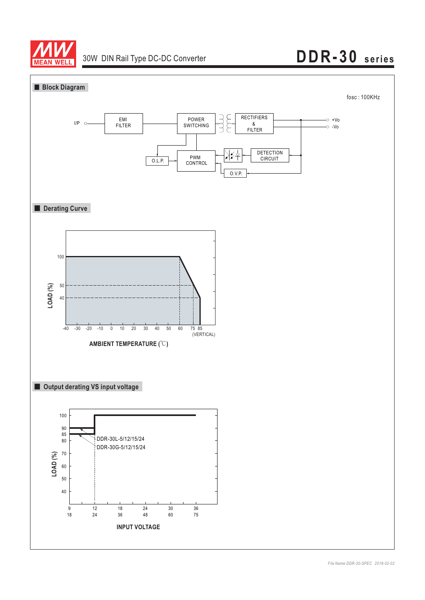

## **DDR-30 series**